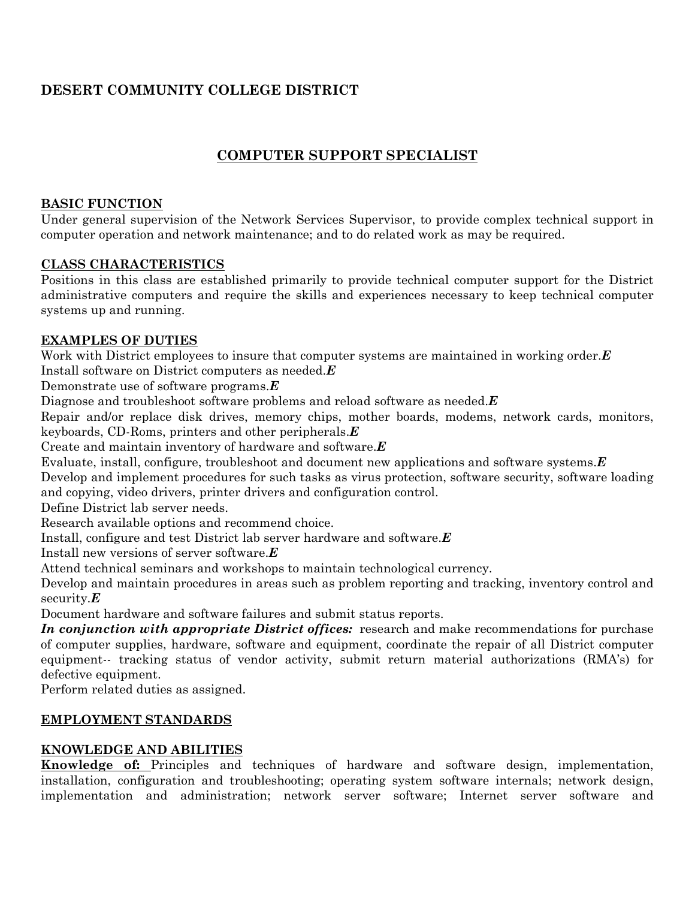# **DESERT COMMUNITY COLLEGE DISTRICT**

# **COMPUTER SUPPORT SPECIALIST**

#### **BASIC FUNCTION**

Under general supervision of the Network Services Supervisor, to provide complex technical support in computer operation and network maintenance; and to do related work as may be required.

#### **CLASS CHARACTERISTICS**

Positions in this class are established primarily to provide technical computer support for the District administrative computers and require the skills and experiences necessary to keep technical computer systems up and running.

## **EXAMPLES OF DUTIES**

Work with District employees to insure that computer systems are maintained in working order.*E* Install software on District computers as needed.*E*

Demonstrate use of software programs.*E*

Diagnose and troubleshoot software problems and reload software as needed.*E*

Repair and/or replace disk drives, memory chips, mother boards, modems, network cards, monitors, keyboards, CD-Roms, printers and other peripherals.*E*

Create and maintain inventory of hardware and software.*E*

Evaluate, install, configure, troubleshoot and document new applications and software systems.*E*

Develop and implement procedures for such tasks as virus protection, software security, software loading and copying, video drivers, printer drivers and configuration control.

Define District lab server needs.

Research available options and recommend choice.

Install, configure and test District lab server hardware and software.*E*

Install new versions of server software.*E*

Attend technical seminars and workshops to maintain technological currency.

Develop and maintain procedures in areas such as problem reporting and tracking, inventory control and security.*E*

Document hardware and software failures and submit status reports.

*In conjunction with appropriate District offices:* research and make recommendations for purchase of computer supplies, hardware, software and equipment, coordinate the repair of all District computer equipment-- tracking status of vendor activity, submit return material authorizations (RMA's) for defective equipment.

Perform related duties as assigned.

## **EMPLOYMENT STANDARDS**

## **KNOWLEDGE AND ABILITIES**

**Knowledge of:** Principles and techniques of hardware and software design, implementation, installation, configuration and troubleshooting; operating system software internals; network design, implementation and administration; network server software; Internet server software and